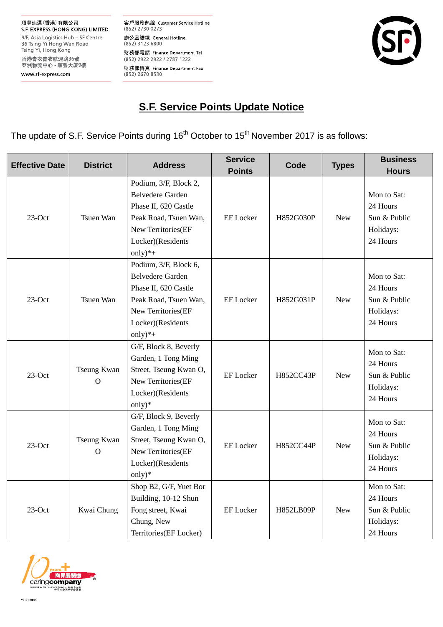客戶服務熱線 Customer Service Hotline (852) 2730 0273 辦公室總線 General Hotline (852) 3123 6800 財務部電話 Finance Department Tel (852) 2922 2922 / 2787 1222 財務部傳真 Finance Department Fax<br>(852) 2670 8530



# **S.F. Service Points Update Notice**

The update of S.F. Service Points during 16<sup>th</sup> October to 15<sup>th</sup> November 2017 is as follows:

| <b>Effective Date</b> | <b>District</b>               | <b>Address</b>                                                                                                                                             | <b>Service</b><br><b>Points</b> | Code             | <b>Types</b> | <b>Business</b><br><b>Hours</b>                                  |
|-----------------------|-------------------------------|------------------------------------------------------------------------------------------------------------------------------------------------------------|---------------------------------|------------------|--------------|------------------------------------------------------------------|
| $23-Oct$              | Tsuen Wan                     | Podium, 3/F, Block 2,<br><b>Belvedere Garden</b><br>Phase II, 620 Castle<br>Peak Road, Tsuen Wan,<br>New Territories(EF<br>Locker)(Residents<br>only) $*+$ | <b>EF</b> Locker                | H852G030P        | <b>New</b>   | Mon to Sat:<br>24 Hours<br>Sun & Public<br>Holidays:<br>24 Hours |
| $23-Oct$              | Tsuen Wan                     | Podium, 3/F, Block 6,<br><b>Belvedere Garden</b><br>Phase II, 620 Castle<br>Peak Road, Tsuen Wan,<br>New Territories(EF<br>Locker)(Residents<br>only) $*+$ | <b>EF</b> Locker                | H852G031P        | <b>New</b>   | Mon to Sat:<br>24 Hours<br>Sun & Public<br>Holidays:<br>24 Hours |
| $23$ -Oct             | Tseung Kwan<br>$\mathbf{O}$   | G/F, Block 8, Beverly<br>Garden, 1 Tong Ming<br>Street, Tseung Kwan O,<br>New Territories(EF<br>Locker)(Residents<br>only $)$ *                            | <b>EF</b> Locker                | H852CC43P        | New          | Mon to Sat:<br>24 Hours<br>Sun & Public<br>Holidays:<br>24 Hours |
| $23$ -Oct             | Tseung Kwan<br>$\overline{O}$ | G/F, Block 9, Beverly<br>Garden, 1 Tong Ming<br>Street, Tseung Kwan O,<br>New Territories(EF<br>Locker)(Residents<br>$only)*$                              | <b>EF</b> Locker                | <b>H852CC44P</b> | <b>New</b>   | Mon to Sat:<br>24 Hours<br>Sun & Public<br>Holidays:<br>24 Hours |
| $23-Oct$              | Kwai Chung                    | Shop B2, G/F, Yuet Bor<br>Building, 10-12 Shun<br>Fong street, Kwai<br>Chung, New<br>Territories(EF Locker)                                                | <b>EF</b> Locker                | H852LB09P        | <b>New</b>   | Mon to Sat:<br>24 Hours<br>Sun & Public<br>Holidays:<br>24 Hours |

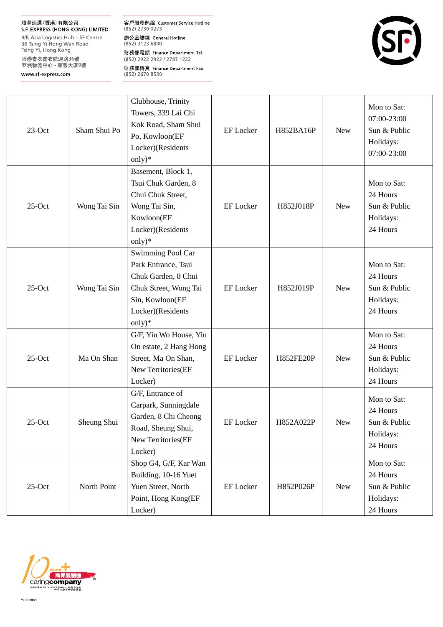#### 順豐速運(香港)有限公司

S.F. EXPRESS (HONG KONG) LIMITED 9/F, Asia Logistics Hub - SF Centre 36 Tsing Yi Hong Wan Road<br>Tsing Yi, Hong Kong 香港青衣青衣航運路36號<br>亞洲物流中心 - 順豐大厦9樓

www sf-express.com

客戶服務熱線 Customer Service Hotline<br>(852) 2730 0273 辦公室總線 General Hotline<br>(852) 3123 6800 財務部電話 Finance Department Tel (852) 2922 2922 / 2787 1222 財務部傳真 Finance Department Fax<br>(852) 2670 8530



| $23-Oct$ | Sham Shui Po | Clubhouse, Trinity<br>Towers, 339 Lai Chi<br>Kok Road, Sham Shui<br>Po, Kowloon(EF<br>Locker)(Residents<br>only) $*$                           | <b>EF</b> Locker | H852BA16P        | <b>New</b> | Mon to Sat:<br>07:00-23:00<br>Sun & Public<br>Holidays:<br>07:00-23:00 |
|----------|--------------|------------------------------------------------------------------------------------------------------------------------------------------------|------------------|------------------|------------|------------------------------------------------------------------------|
| $25-Oct$ | Wong Tai Sin | Basement, Block 1,<br>Tsui Chuk Garden, 8<br>Chui Chuk Street,<br>Wong Tai Sin,<br>Kowloon(EF<br>Locker)(Residents<br>only $)$ *               | <b>EF</b> Locker | H852J018P        | <b>New</b> | Mon to Sat:<br>24 Hours<br>Sun & Public<br>Holidays:<br>24 Hours       |
| $25-Oct$ | Wong Tai Sin | Swimming Pool Car<br>Park Entrance, Tsui<br>Chuk Garden, 8 Chui<br>Chuk Street, Wong Tai<br>Sin, Kowloon(EF<br>Locker)(Residents<br>only $)$ * | <b>EF</b> Locker | H852J019P        | <b>New</b> | Mon to Sat:<br>24 Hours<br>Sun & Public<br>Holidays:<br>24 Hours       |
| $25-Oct$ | Ma On Shan   | G/F, Yiu Wo House, Yiu<br>On estate, 2 Hang Hong<br>Street, Ma On Shan,<br>New Territories(EF<br>Locker)                                       | <b>EF</b> Locker | <b>H852FE20P</b> | <b>New</b> | Mon to Sat:<br>24 Hours<br>Sun & Public<br>Holidays:<br>24 Hours       |
| $25-Oct$ | Sheung Shui  | G/F, Entrance of<br>Carpark, Sunningdale<br>Garden, 8 Chi Cheong<br>Road, Sheung Shui,<br>New Territories(EF<br>Locker)                        | <b>EF</b> Locker | H852A022P        | <b>New</b> | Mon to Sat:<br>24 Hours<br>Sun & Public<br>Holidays:<br>24 Hours       |
| $25-Oct$ | North Point  | Shop G4, G/F, Kar Wan<br>Building, 10-16 Yuet<br>Yuen Street, North<br>Point, Hong Kong(EF<br>Locker)                                          | EF Locker        | H852P026P        | <b>New</b> | Mon to Sat:<br>24 Hours<br>Sun & Public<br>Holidays:<br>24 Hours       |

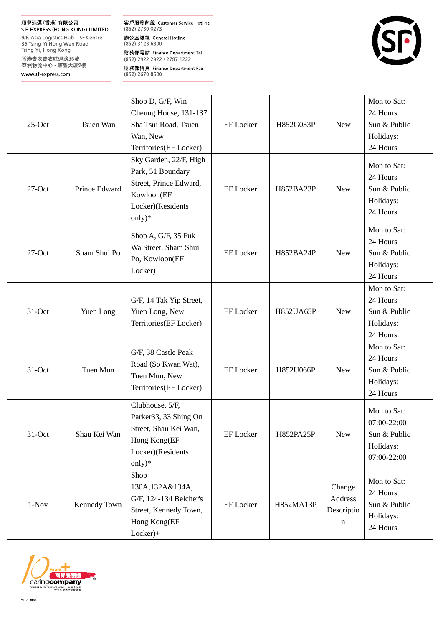## 順豐速運(香港)有限公司

S.F. EXPRESS (HONG KONG) LIMITED 9/F, Asia Logistics Hub - SF Centre 36 Tsing Yi Hong Wan Road<br>Tsing Yi, Hong Kong 香港青衣青衣航運路36號<br>亞洲物流中心 - 順豐大厦9樓

www sf-express.com

客戶服務熱線 Customer Service Hotline<br>(852) 2730 0273 辦公室總線 General Hotline<br>(852) 3123 6800 財務部電話 Finance Department Tel (852) 2922 2922 / 2787 1222 財務部傳真 Finance Department Fax<br>(852) 2670 8530



| $25-Oct$ | Tsuen Wan     | Shop D, G/F, Win<br>Cheung House, 131-137<br>Sha Tsui Road, Tsuen<br>Wan, New<br>Territories(EF Locker)              | <b>EF</b> Locker | H852G033P | <b>New</b>                           | Mon to Sat:<br>24 Hours<br>Sun & Public<br>Holidays:<br>24 Hours       |
|----------|---------------|----------------------------------------------------------------------------------------------------------------------|------------------|-----------|--------------------------------------|------------------------------------------------------------------------|
| $27-Oct$ | Prince Edward | Sky Garden, 22/F, High<br>Park, 51 Boundary<br>Street, Prince Edward,<br>Kowloon(EF<br>Locker)(Residents<br>only)*   | <b>EF</b> Locker | H852BA23P | <b>New</b>                           | Mon to Sat:<br>24 Hours<br>Sun & Public<br>Holidays:<br>24 Hours       |
| $27-Oct$ | Sham Shui Po  | Shop A, G/F, 35 Fuk<br>Wa Street, Sham Shui<br>Po, Kowloon(EF<br>Locker)                                             | <b>EF</b> Locker | H852BA24P | <b>New</b>                           | Mon to Sat:<br>24 Hours<br>Sun & Public<br>Holidays:<br>24 Hours       |
| 31-Oct   | Yuen Long     | G/F, 14 Tak Yip Street,<br>Yuen Long, New<br>Territories(EF Locker)                                                  | <b>EF</b> Locker | H852UA65P | <b>New</b>                           | Mon to Sat:<br>24 Hours<br>Sun & Public<br>Holidays:<br>24 Hours       |
| 31-Oct   | Tuen Mun      | G/F, 38 Castle Peak<br>Road (So Kwan Wat),<br>Tuen Mun, New<br>Territories(EF Locker)                                | <b>EF</b> Locker | H852U066P | <b>New</b>                           | Mon to Sat:<br>24 Hours<br>Sun & Public<br>Holidays:<br>24 Hours       |
| 31-Oct   | Shau Kei Wan  | Clubhouse, 5/F,<br>Parker 33, 33 Shing On<br>Street, Shau Kei Wan,<br>Hong Kong(EF<br>Locker)(Residents<br>only) $*$ | EF Locker        | H852PA25P | New                                  | Mon to Sat:<br>07:00-22:00<br>Sun & Public<br>Holidays:<br>07:00-22:00 |
| $1-Nov$  | Kennedy Town  | Shop<br>130A,132A&134A,<br>G/F, 124-134 Belcher's<br>Street, Kennedy Town,<br>Hong Kong(EF<br>$Locker)+$             | EF Locker        | H852MA13P | Change<br>Address<br>Descriptio<br>n | Mon to Sat:<br>24 Hours<br>Sun & Public<br>Holidays:<br>24 Hours       |

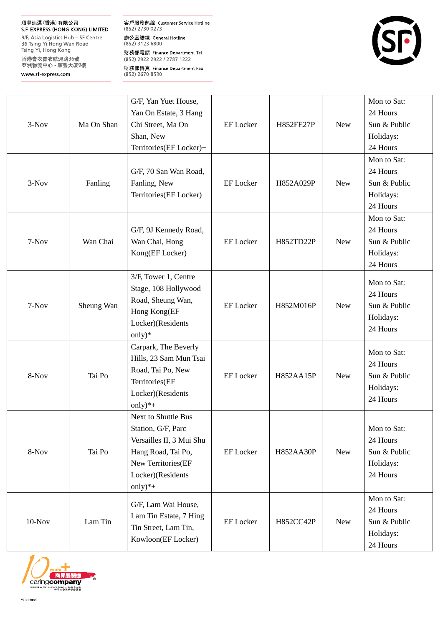## 順豐速運(香港)有限公司

S.F. EXPRESS (HONG KONG) LIMITED 9/F, Asia Logistics Hub - SF Centre 36 Tsing Yi Hong Wan Road Tsing Yi, Hong Kong 香港青衣青衣航運路36號<br>亞洲物流中心 - 順豐大厦9樓

www sf-express.com

客戶服務熱線 Customer Service Hotline  $(852)$  2730 0273 辦公室總線 General Hotline<br>(852) 3123 6800 財務部電話 Finance Department Tel (852) 2922 2922 / 2787 1222 財務部傳真 Finance Department Fax<br>(852) 2670 8530



|          |            | G/F, Yan Yuet House,     |                  |           |            | Mon to Sat:  |
|----------|------------|--------------------------|------------------|-----------|------------|--------------|
| 3-Nov    | Ma On Shan | Yan On Estate, 3 Hang    |                  |           |            | 24 Hours     |
|          |            | Chi Street, Ma On        | <b>EF</b> Locker | H852FE27P | <b>New</b> | Sun & Public |
|          |            | Shan, New                |                  |           |            | Holidays:    |
|          |            | Territories(EF Locker)+  |                  |           |            | 24 Hours     |
|          |            |                          |                  |           |            | Mon to Sat:  |
|          |            | G/F, 70 San Wan Road,    |                  |           |            | 24 Hours     |
| 3-Nov    | Fanling    | Fanling, New             | <b>EF</b> Locker | H852A029P | <b>New</b> | Sun & Public |
|          |            | Territories(EF Locker)   |                  |           |            | Holidays:    |
|          |            |                          |                  |           |            | 24 Hours     |
|          |            |                          |                  |           |            | Mon to Sat:  |
|          |            | G/F, 9J Kennedy Road,    |                  |           |            | 24 Hours     |
| 7-Nov    | Wan Chai   | Wan Chai, Hong           | <b>EF</b> Locker | H852TD22P | <b>New</b> | Sun & Public |
|          |            | Kong(EF Locker)          |                  |           |            | Holidays:    |
|          |            |                          |                  |           |            | 24 Hours     |
|          |            | 3/F, Tower 1, Centre     |                  |           |            | Mon to Sat:  |
|          | Sheung Wan | Stage, 108 Hollywood     |                  | H852M016P | <b>New</b> | 24 Hours     |
| 7-Nov    |            | Road, Sheung Wan,        | <b>EF</b> Locker |           |            | Sun & Public |
|          |            | Hong Kong(EF             |                  |           |            | Holidays:    |
|          |            | Locker)(Residents        |                  |           |            | 24 Hours     |
|          |            | only) $*$                |                  |           |            |              |
|          |            | Carpark, The Beverly     |                  |           |            | Mon to Sat:  |
|          | Tai Po     | Hills, 23 Sam Mun Tsai   |                  | H852AA15P | <b>New</b> | 24 Hours     |
| 8-Nov    |            | Road, Tai Po, New        | <b>EF</b> Locker |           |            | Sun & Public |
|          |            | Territories(EF           |                  |           |            | Holidays:    |
|          |            | Locker)(Residents        |                  |           |            | 24 Hours     |
|          |            | $only)*+$                |                  |           |            |              |
|          |            | Next to Shuttle Bus      |                  |           |            |              |
|          | Tai Po     | Station, G/F, Parc       | EF Locker        | H852AA30P | <b>New</b> | Mon to Sat:  |
| 8-Nov    |            | Versailles II, 3 Mui Shu |                  |           |            | 24 Hours     |
|          |            | Hang Road, Tai Po,       |                  |           |            | Sun & Public |
|          |            | New Territories(EF       |                  |           |            | Holidays:    |
|          |            | Locker)(Residents        |                  |           |            | 24 Hours     |
|          |            | only) $*+$               |                  |           |            |              |
|          | Lam Tin    | G/F, Lam Wai House,      |                  |           |            | Mon to Sat:  |
| $10-Nov$ |            | Lam Tin Estate, 7 Hing   | <b>EF</b> Locker | H852CC42P | <b>New</b> | 24 Hours     |
|          |            | Tin Street, Lam Tin,     |                  |           |            | Sun & Public |
|          |            | Kowloon(EF Locker)       |                  |           |            | Holidays:    |
|          |            |                          |                  |           |            | 24 Hours     |